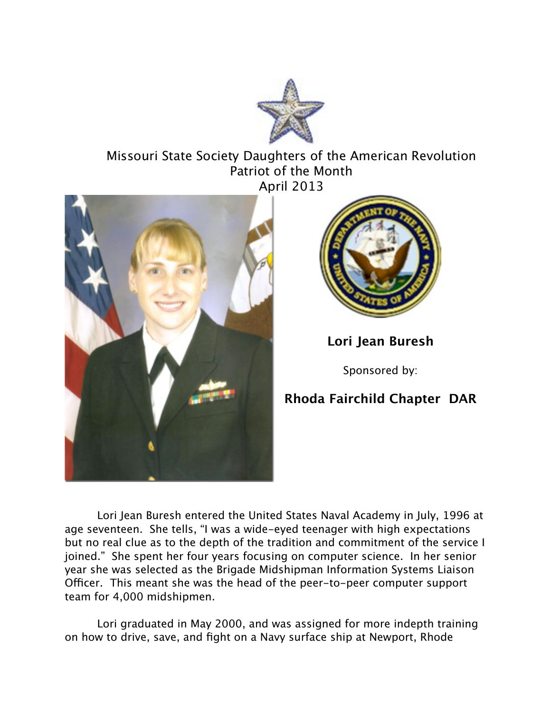

## Missouri State Society Daughters of the American Revolution Patriot of the Month April 2013





## **Lori Jean Buresh**

Sponsored by:

## **Rhoda Fairchild Chapter DAR**

Lori Jean Buresh entered the United States Naval Academy in July, 1996 at age seventeen. She tells, "I was a wide-eyed teenager with high expectations but no real clue as to the depth of the tradition and commitment of the service I joined." She spent her four years focusing on computer science. In her senior year she was selected as the Brigade Midshipman Information Systems Liaison Officer. This meant she was the head of the peer-to-peer computer support team for 4,000 midshipmen.

Lori graduated in May 2000, and was assigned for more indepth training on how to drive, save, and fight on a Navy surface ship at Newport, Rhode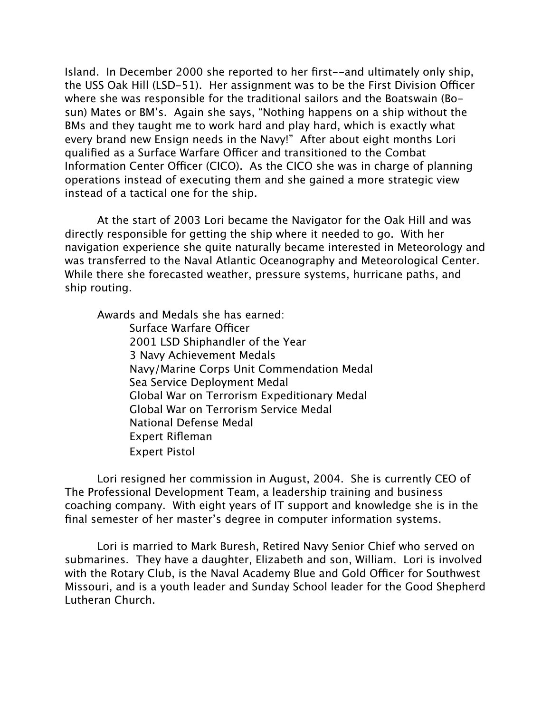Island. In December 2000 she reported to her first--and ultimately only ship, the USS Oak Hill (LSD-51). Her assignment was to be the First Division Officer where she was responsible for the traditional sailors and the Boatswain (Bosun) Mates or BM's. Again she says, "Nothing happens on a ship without the BMs and they taught me to work hard and play hard, which is exactly what every brand new Ensign needs in the Navy!" After about eight months Lori qualified as a Surface Warfare Officer and transitioned to the Combat Information Center Officer (CICO). As the CICO she was in charge of planning operations instead of executing them and she gained a more strategic view instead of a tactical one for the ship.

At the start of 2003 Lori became the Navigator for the Oak Hill and was directly responsible for getting the ship where it needed to go. With her navigation experience she quite naturally became interested in Meteorology and was transferred to the Naval Atlantic Oceanography and Meteorological Center. While there she forecasted weather, pressure systems, hurricane paths, and ship routing.

Awards and Medals she has earned:

Surface Warfare Officer 2001 LSD Shiphandler of the Year 3 Navy Achievement Medals Navy/Marine Corps Unit Commendation Medal Sea Service Deployment Medal Global War on Terrorism Expeditionary Medal Global War on Terrorism Service Medal National Defense Medal Expert Rifleman Expert Pistol

Lori resigned her commission in August, 2004. She is currently CEO of The Professional Development Team, a leadership training and business coaching company. With eight years of IT support and knowledge she is in the final semester of her master's degree in computer information systems.

Lori is married to Mark Buresh, Retired Navy Senior Chief who served on submarines. They have a daughter, Elizabeth and son, William. Lori is involved with the Rotary Club, is the Naval Academy Blue and Gold Officer for Southwest Missouri, and is a youth leader and Sunday School leader for the Good Shepherd Lutheran Church.